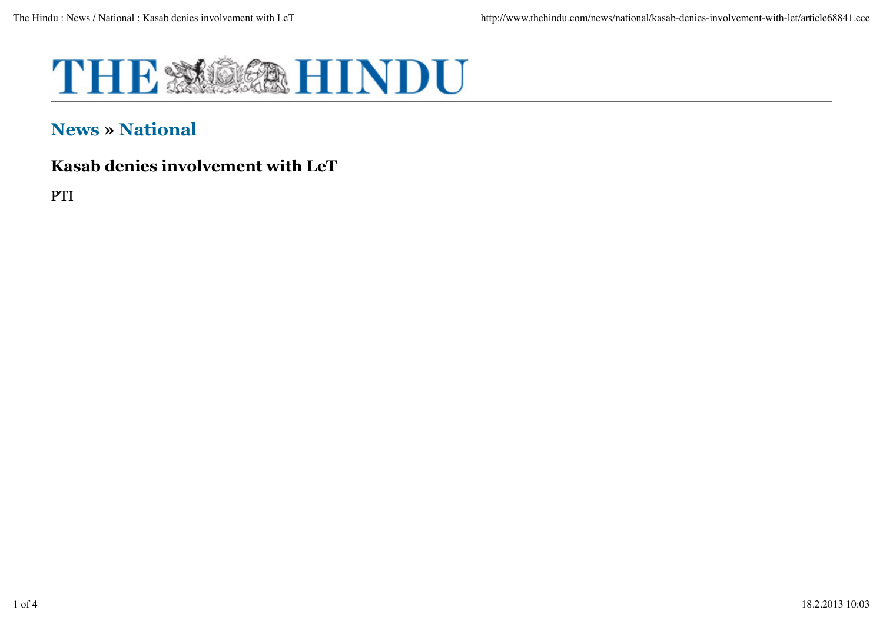

## **News » National**

## **Kasab denies involvement with LeT**

PTI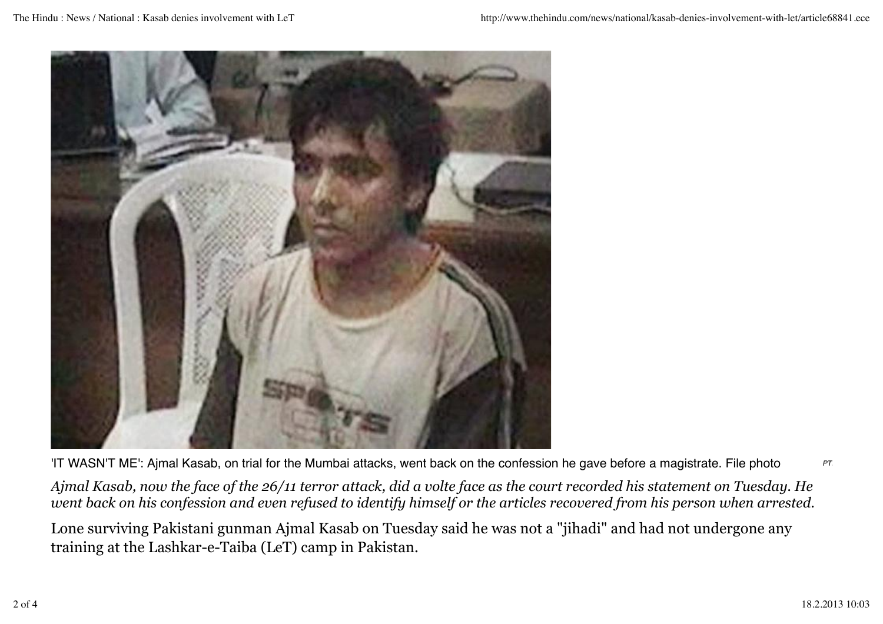

PTIFIT WASN'T ME': Ajmal Kasab, on trial for the Mumbai attacks, went back on the confession he gave before a magistrate. File photo

*Ajmal Kasab, now the face of the 26/11 terror attack, did a volte face as the court recorded his statement on Tuesday. He went back on his confession and even refused to identify himself or the articles recovered from his person when arrested.*

Lone surviving Pakistani gunman Ajmal Kasab on Tuesday said he was not a "jihadi" and had not undergone any training at the Lashkar-e-Taiba (LeT) camp in Pakistan.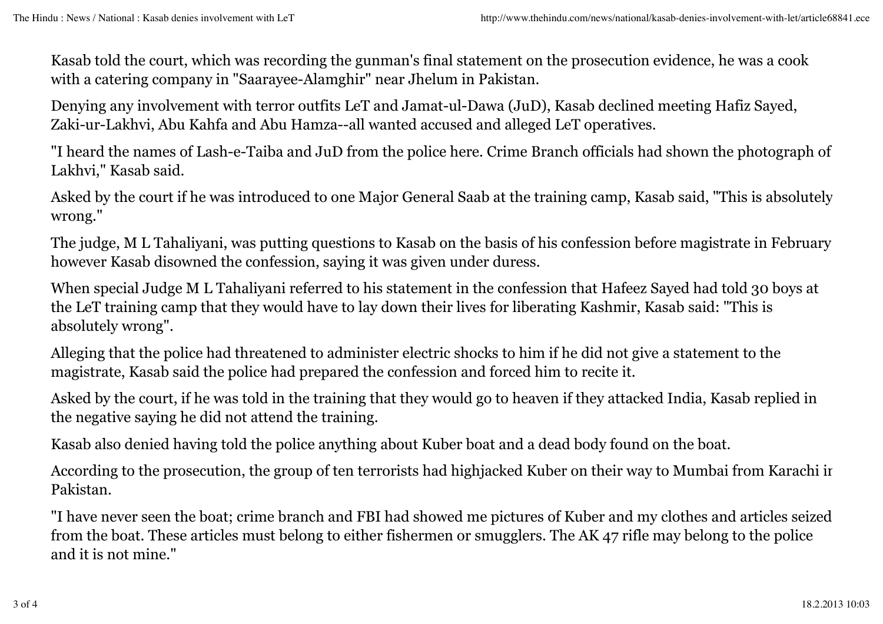Kasab told the court, which was recording the gunman's final statement on the prosecution evidence, he was a cook with a catering company in "Saarayee-Alamghir" near Jhelum in Pakistan.

Denying any involvement with terror outfits LeT and Jamat-ul-Dawa (JuD), Kasab declined meeting Hafiz Sayed, Zaki-ur-Lakhvi, Abu Kahfa and Abu Hamza--all wanted accused and alleged LeT operatives.

"I heard the names of Lash-e-Taiba and JuD from the police here. Crime Branch officials had shown the photograph of Lakhvi," Kasab said.

Asked by the court if he was introduced to one Major General Saab at the training camp, Kasab said, "This is absolutely wrong."

The judge, M L Tahaliyani, was putting questions to Kasab on the basis of his confession before magistrate in February; however Kasab disowned the confession, saying it was given under duress.

When special Judge M L Tahaliyani referred to his statement in the confession that Hafeez Sayed had told 30 boys at the LeT training camp that they would have to lay down their lives for liberating Kashmir, Kasab said: "This is absolutely wrong".

Alleging that the police had threatened to administer electric shocks to him if he did not give a statement to the magistrate, Kasab said the police had prepared the confession and forced him to recite it.

Asked by the court, if he was told in the training that they would go to heaven if they attacked India, Kasab replied in the negative saying he did not attend the training.

Kasab also denied having told the police anything about Kuber boat and a dead body found on the boat.

According to the prosecution, the group of ten terrorists had highjacked Kuber on their way to Mumbai from Karachi in Pakistan.

"I have never seen the boat; crime branch and FBI had showed me pictures of Kuber and my clothes and articles seized from the boat. These articles must belong to either fishermen or smugglers. The AK 47 rifle may belong to the police and it is not mine."